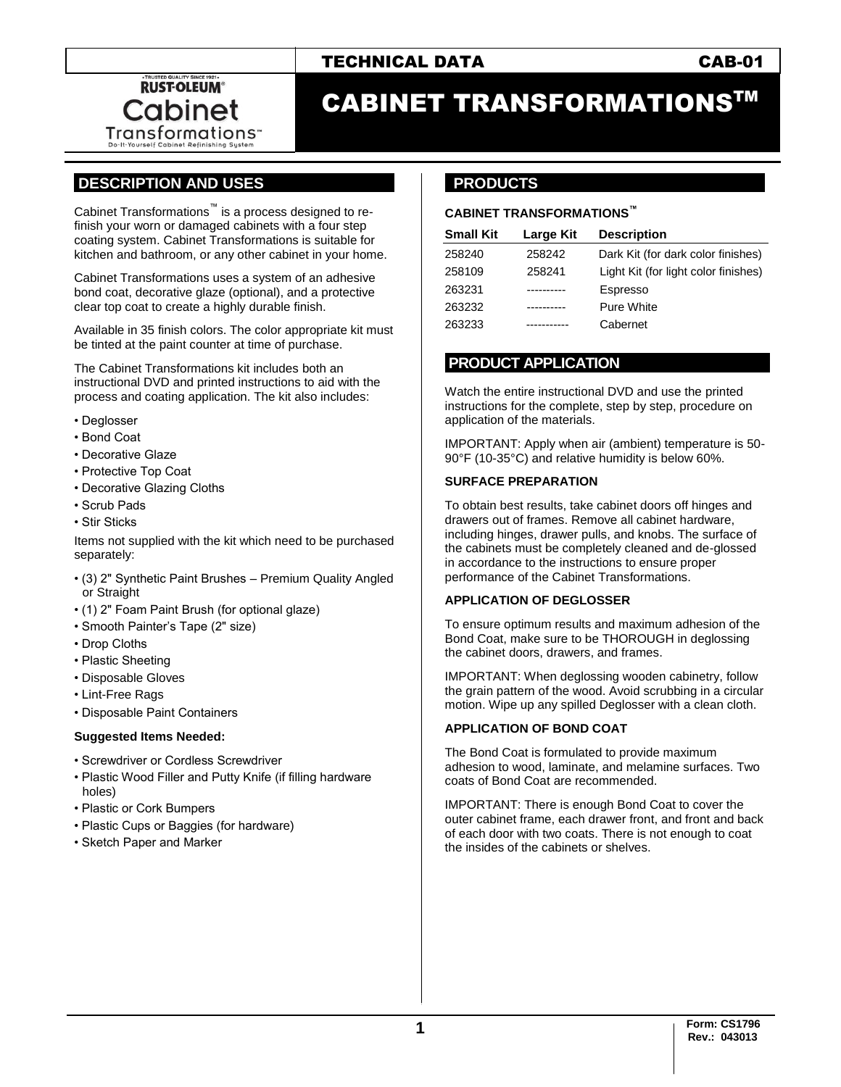# TECHNICAL DATA CAB-01



# CABINET TRANSFORMATIONSTM

# **.DESCRIPTION AND USES .**

Cabinet Transformations™ is a process designed to refinish your worn or damaged cabinets with a four step coating system. Cabinet Transformations is suitable for kitchen and bathroom, or any other cabinet in your home.

Cabinet Transformations uses a system of an adhesive bond coat, decorative glaze (optional), and a protective clear top coat to create a highly durable finish.

Available in 35 finish colors. The color appropriate kit must be tinted at the paint counter at time of purchase.

The Cabinet Transformations kit includes both an instructional DVD and printed instructions to aid with the process and coating application. The kit also includes:

- Deglosser
- Bond Coat
- Decorative Glaze
- Protective Top Coat
- Decorative Glazing Cloths
- Scrub Pads
- Stir Sticks

Items not supplied with the kit which need to be purchased separately:

- (3) 2" Synthetic Paint Brushes Premium Quality Angled or Straight
- (1) 2" Foam Paint Brush (for optional glaze)
- Smooth Painter's Tape (2" size)
- Drop Cloths
- Plastic Sheeting
- Disposable Gloves
- Lint-Free Rags
- Disposable Paint Containers

#### **Suggested Items Needed:**

- Screwdriver or Cordless Screwdriver
- Plastic Wood Filler and Putty Knife (if filling hardware holes)
- Plastic or Cork Bumpers
- Plastic Cups or Baggies (for hardware)
- Sketch Paper and Marker

# **..PRODUCTS .**

#### **CABINET TRANSFORMATIONS™**

| <b>Small Kit</b> | Large Kit | <b>Description</b>                   |
|------------------|-----------|--------------------------------------|
| 258240           | 258242    | Dark Kit (for dark color finishes)   |
| 258109           | 258241    | Light Kit (for light color finishes) |
| 263231           |           | Espresso                             |
| 263232           | .         | <b>Pure White</b>                    |
| 263233           |           | Cabernet                             |

### **.PRODUCT APPLICATION .**

Watch the entire instructional DVD and use the printed instructions for the complete, step by step, procedure on application of the materials.

IMPORTANT: Apply when air (ambient) temperature is 50- 90°F (10-35°C) and relative humidity is below 60%.

#### **SURFACE PREPARATION**

To obtain best results, take cabinet doors off hinges and drawers out of frames. Remove all cabinet hardware, including hinges, drawer pulls, and knobs. The surface of the cabinets must be completely cleaned and de-glossed in accordance to the instructions to ensure proper performance of the Cabinet Transformations.

#### **APPLICATION OF DEGLOSSER**

To ensure optimum results and maximum adhesion of the Bond Coat, make sure to be THOROUGH in deglossing the cabinet doors, drawers, and frames.

IMPORTANT: When deglossing wooden cabinetry, follow the grain pattern of the wood. Avoid scrubbing in a circular motion. Wipe up any spilled Deglosser with a clean cloth.

#### **APPLICATION OF BOND COAT**

The Bond Coat is formulated to provide maximum adhesion to wood, laminate, and melamine surfaces. Two coats of Bond Coat are recommended.

IMPORTANT: There is enough Bond Coat to cover the outer cabinet frame, each drawer front, and front and back of each door with two coats. There is not enough to coat the insides of the cabinets or shelves.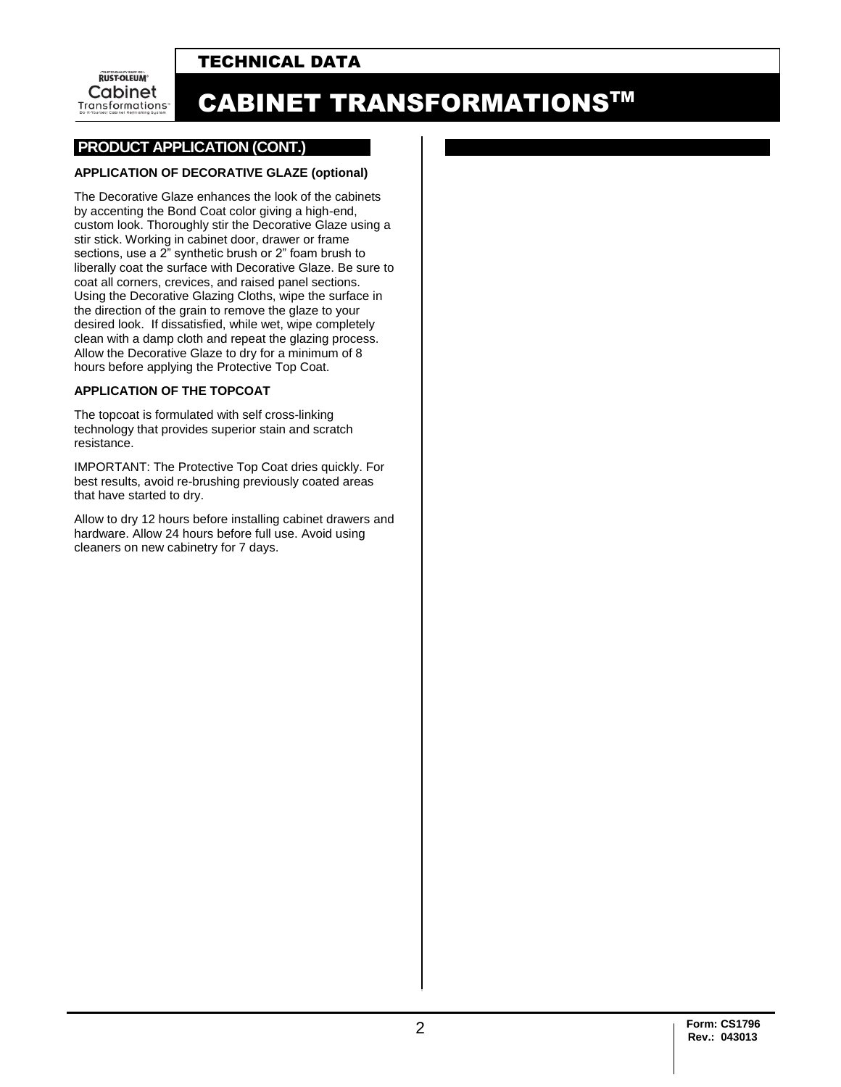# TECHNICAL DATA

**RUST-OLEUM** Cabinet Transformations<sup>-</sup>

# CABINET TRANSFORMATIONSTM

### **.PRODUCT APPLICATION (CONT.)**

#### **APPLICATION OF DECORATIVE GLAZE (optional)**

The Decorative Glaze enhances the look of the cabinets by accenting the Bond Coat color giving a high-end, custom look. Thoroughly stir the Decorative Glaze using a stir stick. Working in cabinet door, drawer or frame sections, use a 2" synthetic brush or 2" foam brush to liberally coat the surface with Decorative Glaze. Be sure to coat all corners, crevices, and raised panel sections. Using the Decorative Glazing Cloths, wipe the surface in the direction of the grain to remove the glaze to your desired look. If dissatisfied, while wet, wipe completely clean with a damp cloth and repeat the glazing process. Allow the Decorative Glaze to dry for a minimum of 8 hours before applying the Protective Top Coat.

#### **APPLICATION OF THE TOPCOAT**

The topcoat is formulated with self cross-linking technology that provides superior stain and scratch resistance.

IMPORTANT: The Protective Top Coat dries quickly. For best results, avoid re-brushing previously coated areas that have started to dry.

Allow to dry 12 hours before installing cabinet drawers and hardware. Allow 24 hours before full use. Avoid using cleaners on new cabinetry for 7 days.